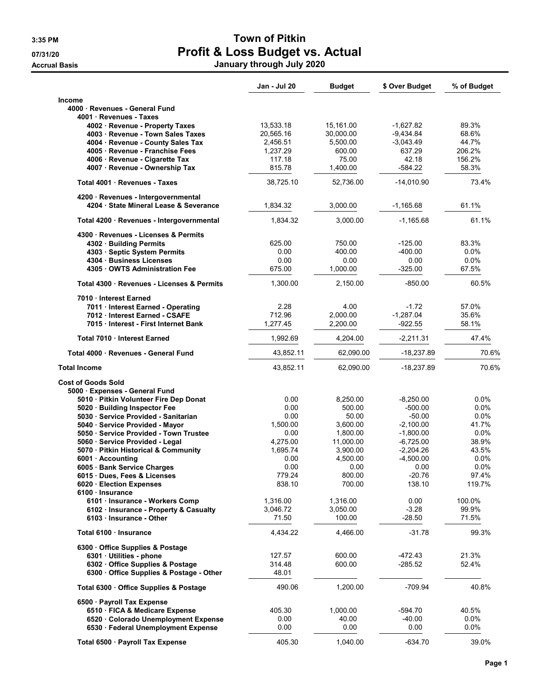|                                                                               | Jan - Jul 20       | <b>Budget</b>        | \$ Over Budget             | % of Budget      |
|-------------------------------------------------------------------------------|--------------------|----------------------|----------------------------|------------------|
| Income                                                                        |                    |                      |                            |                  |
| 4000 Revenues - General Fund                                                  |                    |                      |                            |                  |
| 4001 Revenues - Taxes                                                         |                    |                      |                            |                  |
| 4002 · Revenue - Property Taxes                                               | 13,533.18          | 15.161.00            | $-1,627.82$                | 89.3%            |
| 4003 · Revenue - Town Sales Taxes                                             | 20,565.16          | 30,000.00            | $-9,434.84$                | 68.6%            |
| 4004 · Revenue - County Sales Tax                                             | 2,456.51           | 5,500.00             | $-3,043.49$                | 44.7%            |
| 4005 Revenue - Franchise Fees<br>4006 · Revenue - Cigarette Tax               | 1,237.29<br>117.18 | 600.00<br>75.00      | 637.29<br>42.18            | 206.2%<br>156.2% |
| 4007 · Revenue - Ownership Tax                                                | 815.78             | 1,400.00             | $-584.22$                  | 58.3%            |
|                                                                               |                    |                      |                            |                  |
| Total 4001 Revenues - Taxes                                                   | 38,725.10          | 52,736.00            | $-14,010.90$               | 73.4%            |
| 4200 · Revenues - Intergovernmental<br>4204 · State Mineral Lease & Severance | 1,834.32           | 3,000.00             | $-1,165.68$                | 61.1%            |
| Total 4200 · Revenues - Intergovernmental                                     | 1,834.32           | 3,000.00             | $-1,165.68$                | 61.1%            |
| 4300 Revenues - Licenses & Permits                                            |                    |                      |                            |                  |
| 4302 Building Permits                                                         | 625.00             | 750.00               | $-125.00$                  | 83.3%            |
| 4303 · Septic System Permits                                                  | 0.00               | 400.00               | $-400.00$                  | 0.0%             |
| 4304 Business Licenses                                                        | 0.00               | 0.00                 | 0.00                       | 0.0%             |
| 4305 OWTS Administration Fee                                                  | 675.00             | 1,000.00             | $-325.00$                  | 67.5%            |
| Total 4300 · Revenues - Licenses & Permits                                    | 1,300.00           | 2,150.00             | $-850.00$                  | 60.5%            |
| 7010 · Interest Earned                                                        |                    |                      |                            |                  |
| 7011 · Interest Earned - Operating                                            | 2.28               | 4.00                 | $-1.72$                    | 57.0%            |
| 7012 Interest Earned - CSAFE                                                  | 712.96             | 2,000.00             | $-1,287.04$                | 35.6%            |
| 7015 Interest - First Internet Bank                                           | 1,277.45           | 2,200.00             | -922.55                    | 58.1%            |
| Total 7010 Interest Earned                                                    | 1,992.69           | 4,204.00             | $-2,211.31$                | 47.4%            |
| Total 4000 · Revenues - General Fund                                          | 43,852.11          | 62,090.00            | -18,237.89                 | 70.6%            |
| <b>Total Income</b>                                                           | 43,852.11          | 62,090.00            | -18,237.89                 | 70.6%            |
| <b>Cost of Goods Sold</b>                                                     |                    |                      |                            |                  |
| 5000 · Expenses - General Fund                                                |                    |                      |                            |                  |
| 5010 · Pitkin Volunteer Fire Dep Donat                                        | 0.00               | 8,250.00             | $-8,250.00$                | 0.0%             |
| 5020 Building Inspector Fee                                                   | 0.00               | 500.00               | $-500.00$                  | 0.0%             |
| 5030 · Service Provided - Sanitarian                                          | 0.00               | 50.00                | $-50.00$                   | $0.0\%$          |
| 5040 · Service Provided - Mayor<br>5050 · Service Provided - Town Trustee     | 1,500.00<br>0.00   | 3,600.00<br>1,800.00 | $-2.100.00$<br>$-1,800.00$ | 41.7%<br>0.0%    |
| 5060 · Service Provided - Legal                                               | 4,275.00           | 11,000.00            | $-6,725.00$                | 38.9%            |
| 5070 · Pitkin Historical & Community                                          | 1,695.74           | 3,900.00             | $-2,204.26$                | 43.5%            |
| 6001 Accounting                                                               | 0.00               | 4,500.00             | $-4,500.00$                | 0.0%             |
| 6005 · Bank Service Charges                                                   | 0.00               | 0.00                 | 0.00                       | 0.0%             |
| 6015 · Dues, Fees & Licenses                                                  | 779.24             | 800.00               | $-20.76$                   | 97.4%            |
| 6020 Election Expenses                                                        | 838.10             | 700.00               | 138.10                     | 119.7%           |
| 6100 · Insurance<br>6101 · Insurance - Workers Comp                           | 1,316.00           | 1,316.00             | 0.00                       | 100.0%           |
| 6102 · Insurance - Property & Casualty                                        | 3,046.72           | 3,050.00             | $-3.28$                    | 99.9%            |
| 6103 · Insurance - Other                                                      | 71.50              | 100.00               | $-28.50$                   | 71.5%            |
| Total 6100 Insurance                                                          | 4,434.22           | 4,466.00             | $-31.78$                   | 99.3%            |
| 6300 Office Supplies & Postage                                                |                    |                      |                            |                  |
| 6301 · Utilities - phone                                                      | 127.57             | 600.00               | -472.43                    | 21.3%            |
| 6302 Office Supplies & Postage                                                | 314.48             | 600.00               | $-285.52$                  | 52.4%            |
| 6300 Office Supplies & Postage - Other                                        | 48.01              |                      |                            |                  |
| Total 6300 · Office Supplies & Postage                                        | 490.06             | 1,200.00             | $-709.94$                  | 40.8%            |
| 6500 · Payroll Tax Expense                                                    |                    |                      |                            |                  |
| 6510 · FICA & Medicare Expense                                                | 405.30             | 1,000.00             | -594.70                    | 40.5%            |
| 6520 Colorado Unemployment Expense                                            | 0.00               | 40.00                | -40.00                     | 0.0%             |
| 6530 · Federal Unemployment Expense                                           | 0.00               | 0.00                 | 0.00                       | 0.0%             |
| Total 6500 · Payroll Tax Expense                                              | 405.30             | 1,040.00             | $-634.70$                  | 39.0%            |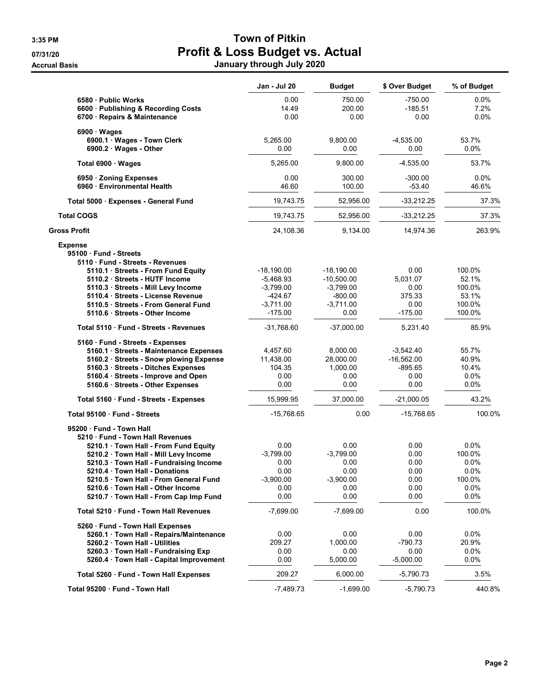|                                                                                            | Jan - Jul 20                | <b>Budget</b>               | \$ Over Budget               | % of Budget                |
|--------------------------------------------------------------------------------------------|-----------------------------|-----------------------------|------------------------------|----------------------------|
| 6580 - Public Works<br>6600 · Publishing & Recording Costs<br>6700 · Repairs & Maintenance | 0.00<br>14.49<br>0.00       | 750.00<br>200.00<br>0.00    | $-750.00$<br>-185.51<br>0.00 | $0.0\%$<br>7.2%<br>$0.0\%$ |
|                                                                                            |                             |                             |                              |                            |
| $6900 \cdot Wages$<br>6900.1 · Wages - Town Clerk                                          | 5,265.00                    | 9,800.00                    | $-4,535.00$                  | 53.7%                      |
| 6900.2 · Wages - Other                                                                     | 0.00                        | 0.00                        | 0.00                         | 0.0%                       |
| Total 6900 · Wages                                                                         | 5,265.00                    | 9,800.00                    | $-4,535.00$                  | 53.7%                      |
| 6950 · Zoning Expenses                                                                     | 0.00                        | 300.00                      | $-300.00$                    | $0.0\%$                    |
| 6960 Environmental Health                                                                  | 46.60                       | 100.00                      | $-53.40$                     | 46.6%                      |
| Total 5000 · Expenses - General Fund                                                       | 19,743.75                   | 52,956.00                   | $-33,212.25$                 | 37.3%                      |
| <b>Total COGS</b>                                                                          | 19,743.75                   | 52,956.00                   | $-33,212.25$                 | 37.3%                      |
| Gross Profit                                                                               | 24,108.36                   | 9,134.00                    | 14,974.36                    | 263.9%                     |
| <b>Expense</b>                                                                             |                             |                             |                              |                            |
| 95100 Fund - Streets                                                                       |                             |                             |                              |                            |
| 5110 Fund - Streets - Revenues                                                             |                             |                             |                              |                            |
| 5110.1 Streets - From Fund Equity<br>5110.2 Streets - HUTF Income                          | $-18,190.00$<br>$-5,468.93$ | $-18,190.00$                | 0.00<br>5,031.07             | 100.0%<br>52.1%            |
| 5110.3 Streets - Mill Levy Income                                                          | $-3,799.00$                 | $-10,500.00$<br>$-3,799.00$ | 0.00                         | 100.0%                     |
| 5110.4 Streets - License Revenue                                                           | $-424.67$                   | $-800.00$                   | 375.33                       | 53.1%                      |
| 5110.5 Streets - From General Fund                                                         | $-3,711.00$                 | $-3,711.00$                 | 0.00                         | 100.0%                     |
| 5110.6 · Streets - Other Income                                                            | -175.00                     | 0.00                        | $-175.00$                    | 100.0%                     |
| Total 5110 Fund - Streets - Revenues                                                       | $-31,768.60$                | $-37,000.00$                | 5,231.40                     | 85.9%                      |
| 5160 Fund - Streets - Expenses                                                             |                             |                             |                              |                            |
| 5160.1 · Streets - Maintenance Expenses                                                    | 4,457.60                    | 8,000.00                    | $-3,542.40$                  | 55.7%                      |
| 5160.2 · Streets - Snow plowing Expense                                                    | 11,438.00                   | 28,000.00                   | $-16,562.00$                 | 40.9%                      |
| 5160.3 · Streets - Ditches Expenses                                                        | 104.35                      | 1,000.00                    | $-895.65$                    | 10.4%                      |
| 5160.4 · Streets - Improve and Open                                                        | 0.00                        | 0.00                        | 0.00                         | 0.0%                       |
| 5160.6 Streets - Other Expenses                                                            | 0.00                        | 0.00                        | 0.00                         | 0.0%                       |
| Total 5160 · Fund - Streets - Expenses                                                     | 15,999.95                   | 37,000.00                   | $-21,000.05$                 | 43.2%                      |
| Total 95100 · Fund - Streets                                                               | $-15,768.65$                | 0.00                        | $-15,768.65$                 | 100.0%                     |
| 95200 Fund - Town Hall                                                                     |                             |                             |                              |                            |
| 5210 Fund - Town Hall Revenues                                                             |                             |                             |                              |                            |
| 5210.1 Town Hall - From Fund Equity                                                        | 0.00                        | 0.00                        | 0.00                         | $0.0\%$                    |
| 5210.2 Town Hall - Mill Levy Income                                                        | $-3,799.00$                 | $-3,799.00$                 | 0.00                         | 100.0%                     |
| 5210.3 Town Hall - Fundraising Income                                                      | 0.00                        | 0.00                        | 0.00                         | 0.0%                       |
| 5210.4 Town Hall - Donations                                                               | 0.00                        | 0.00                        | 0.00                         | 0.0%                       |
| 5210.5 Town Hall - From General Fund                                                       | $-3,900.00$                 | $-3,900.00$                 | 0.00                         | 100.0%                     |
| 5210.6 Town Hall - Other Income                                                            | 0.00                        | 0.00                        | 0.00                         | 0.0%                       |
| 5210.7 Town Hall - From Cap Imp Fund                                                       | 0.00                        | 0.00                        | 0.00                         | 0.0%                       |
| Total 5210 · Fund - Town Hall Revenues                                                     | $-7,699.00$                 | $-7,699.00$                 | 0.00                         | 100.0%                     |
| 5260 · Fund - Town Hall Expenses                                                           |                             |                             |                              |                            |
| 5260.1 Town Hall - Repairs/Maintenance                                                     | 0.00                        | 0.00                        | 0.00                         | $0.0\%$                    |
| 5260.2 Town Hall - Utilities                                                               | 209.27                      | 1,000.00                    | $-790.73$                    | 20.9%                      |
| 5260.3 Town Hall - Fundraising Exp                                                         | 0.00                        | 0.00                        | 0.00                         | $0.0\%$                    |
| 5260.4 · Town Hall - Capital Improvement                                                   | 0.00                        | 5,000.00                    | $-5,000.00$                  | 0.0%                       |
| Total 5260 · Fund - Town Hall Expenses                                                     | 209.27                      | 6,000.00                    | -5,790.73                    | 3.5%                       |
| Total 95200 · Fund - Town Hall                                                             | $-7,489.73$                 | $-1,699.00$                 | $-5,790.73$                  | 440.8%                     |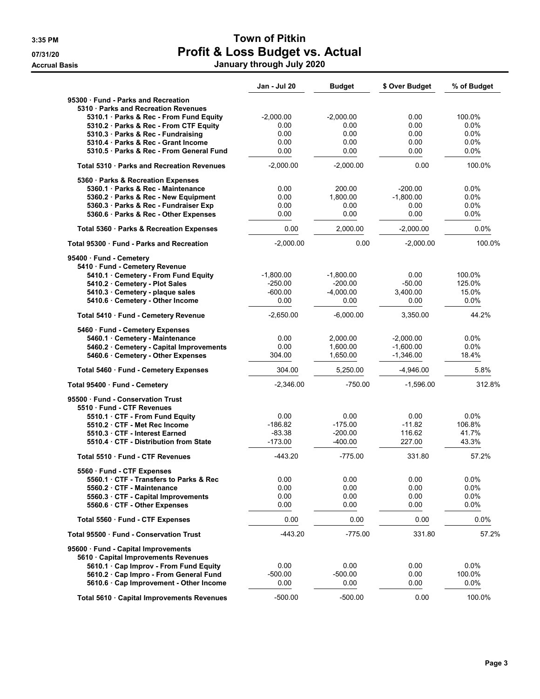|                                                                             | Jan - Jul 20          | <b>Budget</b>          | \$ Over Budget      | % of Budget     |
|-----------------------------------------------------------------------------|-----------------------|------------------------|---------------------|-----------------|
| 95300 Fund - Parks and Recreation                                           |                       |                        |                     |                 |
| 5310 · Parks and Recreation Revenues                                        |                       |                        |                     |                 |
| 5310.1 Parks & Rec - From Fund Equity                                       | $-2,000.00$           | $-2,000.00$            | 0.00                | 100.0%          |
| 5310.2 · Parks & Rec - From CTF Equity                                      | 0.00                  | 0.00                   | 0.00                | $0.0\%$         |
| 5310.3 Parks & Rec - Fundraising                                            | 0.00                  | 0.00                   | 0.00                | $0.0\%$         |
| 5310.4 Parks & Rec - Grant Income                                           | 0.00                  | 0.00                   | 0.00                | 0.0%            |
| 5310.5 · Parks & Rec - From General Fund                                    | 0.00                  | 0.00                   | 0.00                | $0.0\%$         |
| Total 5310 · Parks and Recreation Revenues                                  | $-2,000.00$           | $-2.000.00$            | 0.00                | 100.0%          |
| 5360 · Parks & Recreation Expenses                                          |                       |                        |                     |                 |
| 5360.1 Parks & Rec - Maintenance                                            | 0.00                  | 200.00                 | $-200.00$           | 0.0%            |
| 5360.2 Parks & Rec - New Equipment<br>5360.3 · Parks & Rec - Fundraiser Exp | 0.00<br>0.00          | 1.800.00               | $-1.800.00$<br>0.00 | 0.0%<br>0.0%    |
| 5360.6 · Parks & Rec - Other Expenses                                       | 0.00                  | 0.00<br>0.00           | 0.00                | 0.0%            |
| Total 5360 · Parks & Recreation Expenses                                    | 0.00                  | 2,000.00               | $-2,000.00$         | 0.0%            |
| Total 95300 Fund - Parks and Recreation                                     | $-2,000.00$           | 0.00                   | $-2,000.00$         | 100.0%          |
|                                                                             |                       |                        |                     |                 |
| 95400 Fund - Cemetery<br>5410 · Fund - Cemetery Revenue                     |                       |                        |                     |                 |
| 5410.1 Cemetery - From Fund Equity                                          | $-1,800.00$           | $-1,800.00$            | 0.00                | 100.0%          |
| 5410.2 Cemetery - Plot Sales                                                | $-250.00$             | $-200.00$              | $-50.00$            | 125.0%          |
| 5410.3 Cemetery - plaque sales                                              | $-600.00$             | $-4,000.00$            | 3,400.00            | 15.0%           |
| 5410.6 · Cemetery - Other Income                                            | 0.00                  | 0.00                   | 0.00                | $0.0\%$         |
| Total 5410 · Fund - Cemetery Revenue                                        | $-2,650.00$           | $-6,000.00$            | 3,350.00            | 44.2%           |
| 5460 · Fund - Cemetery Expenses                                             |                       |                        |                     |                 |
| 5460.1 Cemetery - Maintenance                                               | 0.00                  | 2,000.00               | $-2,000.00$         | 0.0%            |
| 5460.2 · Cemetery - Capital Improvements                                    | 0.00                  | 1,600.00               | $-1,600.00$         | 0.0%            |
| 5460.6 Cemetery - Other Expenses                                            | 304.00                | 1,650.00               | $-1,346.00$         | 18.4%           |
| Total 5460 · Fund - Cemetery Expenses                                       | 304.00                | 5,250.00               | $-4,946.00$         | 5.8%            |
| Total 95400 · Fund - Cemetery                                               | $-2,346.00$           | $-750.00$              | $-1,596.00$         | 312.8%          |
| 95500 Fund - Conservation Trust                                             |                       |                        |                     |                 |
| 5510 Fund - CTF Revenues                                                    |                       |                        |                     |                 |
| 5510.1 CTF - From Fund Equity                                               | 0.00                  | 0.00                   | 0.00                | 0.0%            |
| 5510.2 CTF - Met Rec Income<br>5510.3 CTF - Interest Earned                 | $-186.82$<br>$-83.38$ | $-175.00$<br>$-200.00$ | $-11.82$<br>116.62  | 106.8%<br>41.7% |
| 5510.4 CTF - Distribution from State                                        | $-173.00$             | $-400.00$              | 227.00              | 43.3%           |
| Total 5510 Fund - CTF Revenues                                              | $-443.20$             | $-775.00$              | 331.80              | 57.2%           |
|                                                                             |                       |                        |                     |                 |
| 5560 · Fund - CTF Expenses<br>5560.1 CTF - Transfers to Parks & Rec         | 0.00                  | 0.00                   | 0.00                | 0.0%            |
| 5560.2 CTF - Maintenance                                                    | 0.00                  | 0.00                   | 0.00                | 0.0%            |
| 5560.3 CTF - Capital Improvements                                           | 0.00                  | 0.00                   | 0.00                | 0.0%            |
| 5560.6 CTF - Other Expenses                                                 | 0.00                  | 0.00                   | 0.00                | $0.0\%$         |
| Total 5560 Fund - CTF Expenses                                              | 0.00                  | 0.00                   | 0.00                | 0.0%            |
| Total 95500 Fund - Conservation Trust                                       | $-443.20$             | $-775.00$              | 331.80              | 57.2%           |
| 95600 · Fund - Capital Improvements                                         |                       |                        |                     |                 |
| 5610 Capital Improvements Revenues                                          |                       |                        |                     |                 |
| 5610.1 · Cap Improv - From Fund Equity                                      | 0.00                  | 0.00                   | 0.00                | $0.0\%$         |
| 5610.2 Cap Impro - From General Fund                                        | $-500.00$             | $-500.00$              | 0.00                | 100.0%          |
| 5610.6 Cap Improvement - Other Income                                       | 0.00                  | 0.00                   | 0.00                | $0.0\%$         |
| Total 5610 · Capital Improvements Revenues                                  | $-500.00$             | $-500.00$              | 0.00                | 100.0%          |